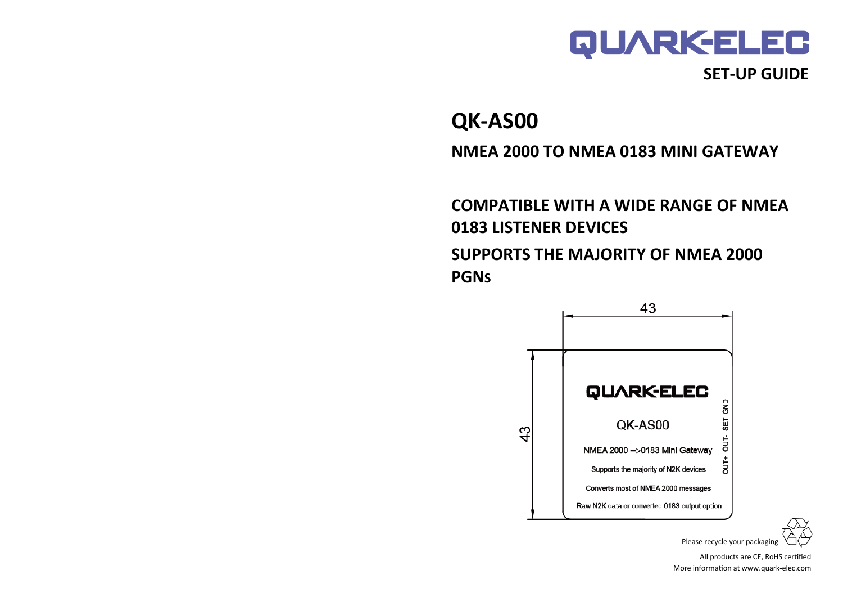

## **SET-UP GUIDE**

**QK-AS00**

**NMEA 2000 TO NMEA 0183 MINI GATEWAY**

**COMPATIBLE WITH A WIDE RANGE OF NMEA 0183 LISTENER DEVICES SUPPORTS THE MAJORITY OF NMEA 2000 PGNS**



Please recycle your packaging

All products are CE, RoHS certified More information at www.quark-elec.com